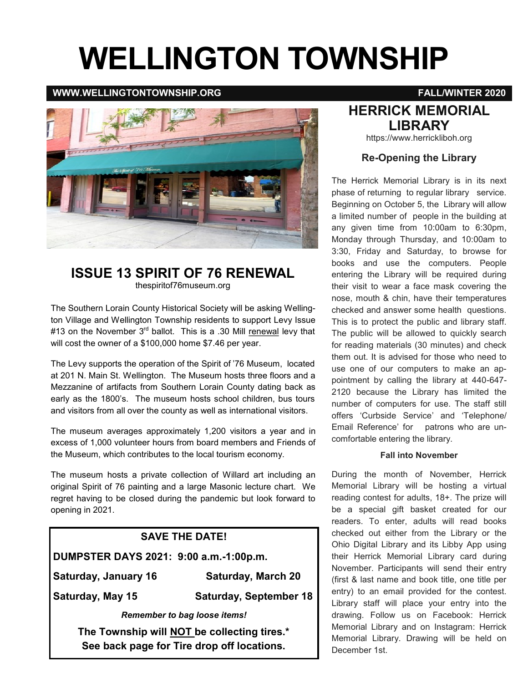# **WELLINGTON TOWNSHIP**

#### **WWW.WELLINGTONTOWNSHIP.ORG FALL/WINTER 2020**



#### **ISSUE 13 SPIRIT OF 76 RENEWAL**  thespiritof76museum.org

The Southern Lorain County Historical Society will be asking Wellington Village and Wellington Township residents to support Levy Issue #13 on the November  $3<sup>rd</sup>$  ballot. This is a .30 Mill renewal levy that will cost the owner of a \$100,000 home \$7.46 per year.

The Levy supports the operation of the Spirit of '76 Museum, located at 201 N. Main St. Wellington. The Museum hosts three floors and a Mezzanine of artifacts from Southern Lorain County dating back as early as the 1800's. The museum hosts school children, bus tours and visitors from all over the county as well as international visitors.

The museum averages approximately 1,200 visitors a year and in excess of 1,000 volunteer hours from board members and Friends of the Museum, which contributes to the local tourism economy.

The museum hosts a private collection of Willard art including an original Spirit of 76 painting and a large Masonic lecture chart. We regret having to be closed during the pandemic but look forward to opening in 2021.

# **SAVE THE DATE! DUMPSTER DAYS 2021: 9:00 a.m.-1:00p.m. Saturday, January 16 Saturday, March 20 Saturday, May 15 Saturday, September 18**  *Remember to bag loose items!*  **The Township will NOT be collecting tires.\***

**See back page for Tire drop off locations.**

#### **HERRICK MEMORIAL LIBRARY**

https://www.herrickliboh.org

#### **Re-Opening the Library**

The Herrick Memorial Library is in its next phase of returning to regular library service. Beginning on October 5, the Library will allow a limited number of people in the building at any given time from 10:00am to 6:30pm, Monday through Thursday, and 10:00am to 3:30, Friday and Saturday, to browse for books and use the computers. People entering the Library will be required during their visit to wear a face mask covering the nose, mouth & chin, have their temperatures checked and answer some health questions. This is to protect the public and library staff. The public will be allowed to quickly search for reading materials (30 minutes) and check them out. It is advised for those who need to use one of our computers to make an appointment by calling the library at 440-647- 2120 because the Library has limited the number of computers for use. The staff still offers 'Curbside Service' and 'Telephone/ Email Reference' for patrons who are uncomfortable entering the library.

#### **Fall into November**

During the month of November, Herrick Memorial Library will be hosting a virtual reading contest for adults, 18+. The prize will be a special gift basket created for our readers. To enter, adults will read books checked out either from the Library or the Ohio Digital Library and its Libby App using their Herrick Memorial Library card during November. Participants will send their entry (first & last name and book title, one title per entry) to an email provided for the contest. Library staff will place your entry into the drawing. Follow us on Facebook: Herrick Memorial Library and on Instagram: Herrick Memorial Library. Drawing will be held on December 1st.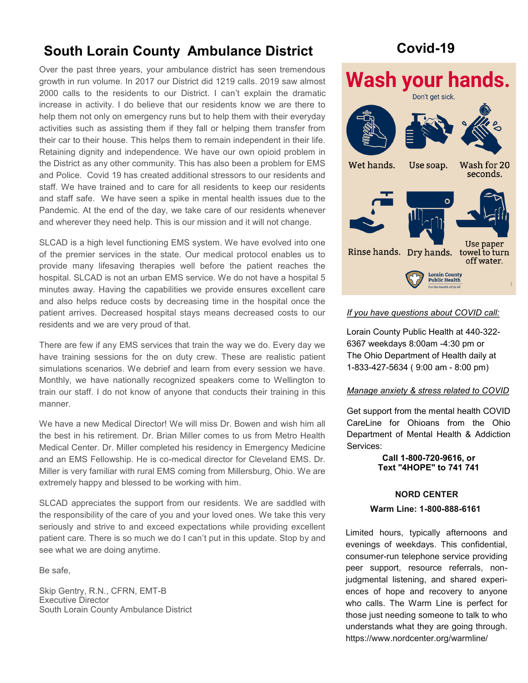# **South Lorain County Ambulance District Covid-19**

Over the past three years, your ambulance district has seen tremendous growth in run volume. In 2017 our District did 1219 calls. 2019 saw almost 2000 calls to the residents to our District. I can't explain the dramatic increase in activity. I do believe that our residents know we are there to help them not only on emergency runs but to help them with their everyday activities such as assisting them if they fall or helping them transfer from their car to their house. This helps them to remain independent in their life. Retaining dignity and independence. We have our own opioid problem in the District as any other community. This has also been a problem for EMS and Police. Covid 19 has created additional stressors to our residents and staff. We have trained and to care for all residents to keep our residents and staff safe. We have seen a spike in mental health issues due to the Pandemic. At the end of the day, we take care of our residents whenever and wherever they need help. This is our mission and it will not change.

SLCAD is a high level functioning EMS system. We have evolved into one of the premier services in the state. Our medical protocol enables us to provide many lifesaving therapies well before the patient reaches the hospital. SLCAD is not an urban EMS service. We do not have a hospital 5 minutes away. Having the capabilities we provide ensures excellent care and also helps reduce costs by decreasing time in the hospital once the patient arrives. Decreased hospital stays means decreased costs to our residents and we are very proud of that.

There are few if any EMS services that train the way we do. Every day we have training sessions for the on duty crew. These are realistic patient simulations scenarios. We debrief and learn from every session we have. Monthly, we have nationally recognized speakers come to Wellington to train our staff. I do not know of anyone that conducts their training in this manner.

We have a new Medical Director! We will miss Dr. Bowen and wish him all the best in his retirement. Dr. Brian Miller comes to us from Metro Health Medical Center. Dr. Miller completed his residency in Emergency Medicine and an EMS Fellowship. He is co-medical director for Cleveland EMS. Dr. Miller is very familiar with rural EMS coming from Millersburg, Ohio. We are extremely happy and blessed to be working with him.

SLCAD appreciates the support from our residents. We are saddled with the responsibility of the care of you and your loved ones. We take this very seriously and strive to and exceed expectations while providing excellent patient care. There is so much we do I can't put in this update. Stop by and see what we are doing anytime.

Be safe,

Skip Gentry, R.N., CFRN, EMT-B Executive Director South Lorain County Ambulance District



#### *If you have questions about COVID call:*

Lorain County Public Health at 440-322- 6367 weekdays 8:00am -4:30 pm or The Ohio Department of Health daily at 1-833-427-5634 ( 9:00 am - 8:00 pm)

#### *Manage anxiety & stress related to COVID*

Get support from the mental health COVID CareLine for Ohioans from the Ohio Department of Mental Health & Addiction Services:

> **Call 1-800-720-[9616,](tel:18007209616) or Text "4HOPE" to 741 741**

#### **NORD CENTER**

#### **Warm Line: 1-800-888-6161**

Limited hours, typically afternoons and evenings of weekdays. This confidential, consumer-run telephone service providing peer support, resource referrals, nonjudgmental listening, and shared experiences of hope and recovery to anyone who calls. The Warm Line is perfect for those just needing someone to talk to who understands what they are going through. https://www.nordcenter.org/warmline/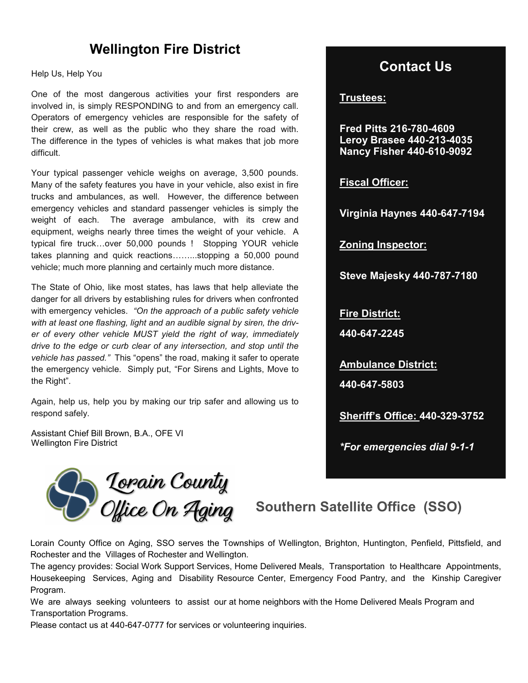## **Wellington Fire District**

Help Us, Help You

One of the most dangerous activities your first responders are involved in, is simply RESPONDING to and from an emergency call. Operators of emergency vehicles are responsible for the safety of their crew, as well as the public who they share the road with. The difference in the types of vehicles is what makes that job more difficult.

Your typical passenger vehicle weighs on average, 3,500 pounds. Many of the safety features you have in your vehicle, also exist in fire trucks and ambulances, as well. However, the difference between emergency vehicles and standard passenger vehicles is simply the weight of each. The average ambulance, with its crew and equipment, weighs nearly three times the weight of your vehicle. A typical fire truck…over 50,000 pounds ! Stopping YOUR vehicle takes planning and quick reactions……...stopping a 50,000 pound vehicle; much more planning and certainly much more distance.

The State of Ohio, like most states, has laws that help alleviate the danger for all drivers by establishing rules for drivers when confronted with emergency vehicles. *"On the approach of a public safety vehicle with at least one flashing, light and an audible signal by siren, the driver of every other vehicle MUST yield the right of way, immediately drive to the edge or curb clear of any intersection, and stop until the vehicle has passed."* This "opens" the road, making it safer to operate the emergency vehicle. Simply put, "For Sirens and Lights, Move to the Right".

Again, help us, help you by making our trip safer and allowing us to respond safely.

Assistant Chief Bill Brown, B.A., OFE VI Wellington Fire District

# Lopain County<br>*Office On Aging* Southern Satellite Office (SSO)

### **Contact Us**

**Trustees:** 

**Fred Pitts 216-780-4609 Leroy Brasee 440-213-4035 Nancy Fisher 440-610-9092**

**Fiscal Officer:**

**Virginia Haynes 440-647-7194**

**Zoning Inspector:**

**Steve Majesky 440-787-7180**

**Fire District:** 

**440-647-2245**

**Ambulance District: 440-647-5803**

**Sheriff's Office: 440-329-3752**

*\*For emergencies dial 9-1-1*

Lorain County Office on Aging, SSO serves the Townships of Wellington, Brighton, Huntington, Penfield, Pittsfield, and Rochester and the Villages of Rochester and Wellington.

The agency provides: Social Work Support Services, Home Delivered Meals, Transportation to Healthcare Appointments, Housekeeping Services, Aging and Disability Resource Center, Emergency Food Pantry, and the Kinship Caregiver Program.

We are always seeking volunteers to assist our at home neighbors with the Home Delivered Meals Program and Transportation Programs.

Please contact us at 440-647-0777 for services or volunteering inquiries.